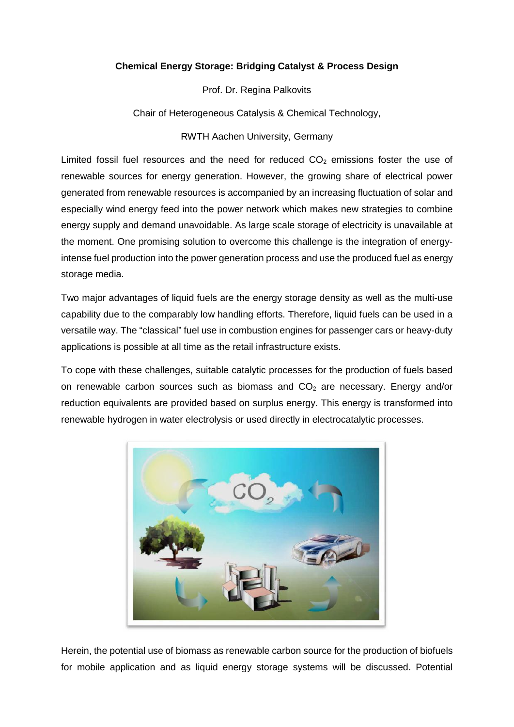## **Chemical Energy Storage: Bridging Catalyst & Process Design**

Prof. Dr. Regina Palkovits

Chair of Heterogeneous Catalysis & Chemical Technology,

## RWTH Aachen University, Germany

Limited fossil fuel resources and the need for reduced  $CO<sub>2</sub>$  emissions foster the use of renewable sources for energy generation. However, the growing share of electrical power generated from renewable resources is accompanied by an increasing fluctuation of solar and especially wind energy feed into the power network which makes new strategies to combine energy supply and demand unavoidable. As large scale storage of electricity is unavailable at the moment. One promising solution to overcome this challenge is the integration of energyintense fuel production into the power generation process and use the produced fuel as energy storage media.

Two major advantages of liquid fuels are the energy storage density as well as the multi-use capability due to the comparably low handling efforts. Therefore, liquid fuels can be used in a versatile way. The "classical" fuel use in combustion engines for passenger cars or heavy-duty applications is possible at all time as the retail infrastructure exists.

To cope with these challenges, suitable catalytic processes for the production of fuels based on renewable carbon sources such as biomass and  $CO<sub>2</sub>$  are necessary. Energy and/or reduction equivalents are provided based on surplus energy. This energy is transformed into renewable hydrogen in water electrolysis or used directly in electrocatalytic processes.



Herein, the potential use of biomass as renewable carbon source for the production of biofuels for mobile application and as liquid energy storage systems will be discussed. Potential